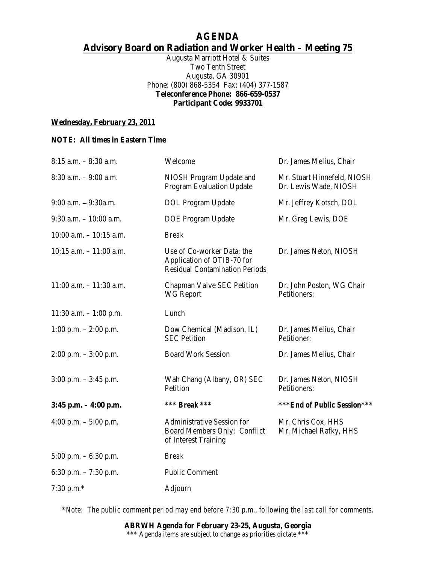# **AGENDA Advisory Board on Radiation and Worker Health – Meeting 75**

Augusta Marriott Hotel & Suites Two Tenth Street Augusta, GA 30901 Phone: (800) 868-5354 Fax: (404) 377-1587 **Teleconference Phone: 866-659-0537 Participant Code: 9933701** 

#### **Wednesday, February 23, 2011**

#### **NOTE: All times in Eastern Time**

| $8:15$ a.m. $-8:30$ a.m.   | Welcome                                                                                           | Dr. James Melius, Chair                              |
|----------------------------|---------------------------------------------------------------------------------------------------|------------------------------------------------------|
| $8:30$ a.m. $-9:00$ a.m.   | NIOSH Program Update and<br><b>Program Evaluation Update</b>                                      | Mr. Stuart Hinnefeld, NIOSH<br>Dr. Lewis Wade, NIOSH |
| $9:00$ a.m. $-9:30$ a.m.   | <b>DOL</b> Program Update                                                                         | Mr. Jeffrey Kotsch, DOL                              |
| $9:30$ a.m. $-10:00$ a.m.  | <b>DOE Program Update</b>                                                                         | Mr. Greg Lewis, DOE                                  |
| $10:00$ a.m. $-10:15$ a.m. | <b>Break</b>                                                                                      |                                                      |
| $10:15$ a.m. $-11:00$ a.m. | Use of Co-worker Data; the<br>Application of OTIB-70 for<br><b>Residual Contamination Periods</b> | Dr. James Neton, NIOSH                               |
| $11:00$ a.m. $-11:30$ a.m. | Chapman Valve SEC Petition<br><b>WG Report</b>                                                    | Dr. John Poston, WG Chair<br>Petitioners:            |
| 11:30 a.m. $-1:00$ p.m.    | Lunch                                                                                             |                                                      |
| 1:00 p.m. $- 2:00$ p.m.    | Dow Chemical (Madison, IL)<br><b>SEC Petition</b>                                                 | Dr. James Melius, Chair<br>Petitioner:               |
| $2:00$ p.m. $-3:00$ p.m.   | <b>Board Work Session</b>                                                                         | Dr. James Melius, Chair                              |
| $3:00$ p.m. $-3:45$ p.m.   | Wah Chang (Albany, OR) SEC<br>Petition                                                            | Dr. James Neton, NIOSH<br>Petitioners:               |
| $3:45$ p.m. $-4:00$ p.m.   | *** <b>Break</b> ***                                                                              | ***End of Public Session***                          |
| 4:00 p.m. $-$ 5:00 p.m.    | <b>Administrative Session for</b><br>Board Members Only: Conflict<br>of Interest Training         | Mr. Chris Cox, HHS<br>Mr. Michael Rafky, HHS         |
| 5:00 p.m. $-6:30$ p.m.     | <b>Break</b>                                                                                      |                                                      |
| 6:30 p.m. $-7:30$ p.m.     | <b>Public Comment</b>                                                                             |                                                      |
| 7:30 p.m. $*$              | Adjourn                                                                                           |                                                      |

*\*Note: The public comment period may end before 7:30 p.m., following the last call for comments.*

**ABRWH Agenda for February 23-25, Augusta, Georgia**  \*\*\* Agenda items are subject to change as priorities dictate \*\*\*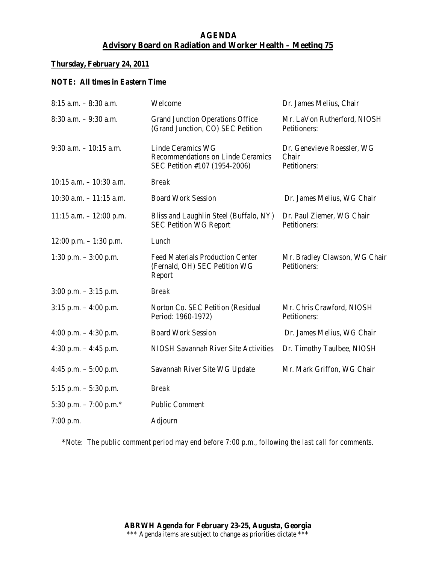# **AGENDA Advisory Board on Radiation and Worker Health – Meeting 75**

#### **Thursday, February 24, 2011**

## **NOTE: All times in Eastern Time**

| $8:15$ a.m. $-8:30$ a.m.   | Welcome                                                                                 | Dr. James Melius, Chair                             |
|----------------------------|-----------------------------------------------------------------------------------------|-----------------------------------------------------|
| $8:30$ a.m. $-9:30$ a.m.   | <b>Grand Junction Operations Office</b><br>(Grand Junction, CO) SEC Petition            | Mr. LaVon Rutherford, NIOSH<br>Petitioners:         |
| $9:30$ a.m. $-10:15$ a.m.  | Linde Ceramics WG<br>Recommendations on Linde Ceramics<br>SEC Petition #107 (1954-2006) | Dr. Genevieve Roessler, WG<br>Chair<br>Petitioners: |
| $10:15$ a.m. $-10:30$ a.m. | <b>Break</b>                                                                            |                                                     |
| $10:30$ a.m. $-11:15$ a.m. | <b>Board Work Session</b>                                                               | Dr. James Melius, WG Chair                          |
| $11:15$ a.m. $-12:00$ p.m. | Bliss and Laughlin Steel (Buffalo, NY)<br><b>SEC Petition WG Report</b>                 | Dr. Paul Ziemer, WG Chair<br>Petitioners:           |
| 12:00 p.m. $-1:30$ p.m.    | Lunch                                                                                   |                                                     |
| $1:30$ p.m. $-3:00$ p.m.   | <b>Feed Materials Production Center</b><br>(Fernald, OH) SEC Petition WG<br>Report      | Mr. Bradley Clawson, WG Chair<br>Petitioners:       |
| $3:00$ p.m. $-3:15$ p.m.   | <b>Break</b>                                                                            |                                                     |
| $3:15$ p.m. $-4:00$ p.m.   | Norton Co. SEC Petition (Residual<br>Period: 1960-1972)                                 | Mr. Chris Crawford, NIOSH<br>Petitioners:           |
| 4:00 p.m. $-4:30$ p.m.     | <b>Board Work Session</b>                                                               | Dr. James Melius, WG Chair                          |
| 4:30 p.m. $-4:45$ p.m.     | <b>NIOSH Savannah River Site Activities</b>                                             | Dr. Timothy Taulbee, NIOSH                          |
| 4:45 p.m. $-$ 5:00 p.m.    | Savannah River Site WG Update                                                           | Mr. Mark Griffon, WG Chair                          |
| 5:15 p.m. $-$ 5:30 p.m.    | <b>Break</b>                                                                            |                                                     |
| 5:30 p.m. $-7:00$ p.m.*    | <b>Public Comment</b>                                                                   |                                                     |
| $7:00$ p.m.                | Adjourn                                                                                 |                                                     |

*\*Note: The public comment period may end before 7:00 p.m., following the last call for comments.*